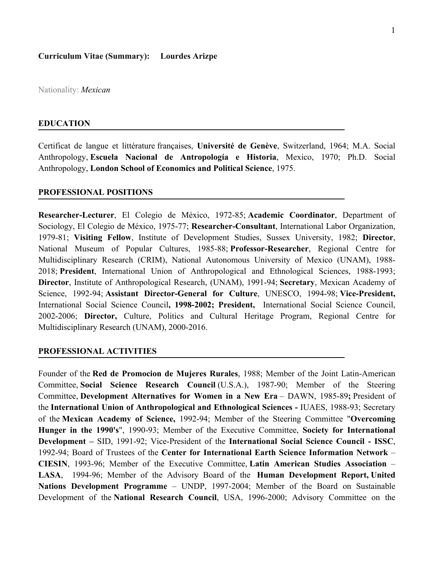Nationality: *Mexican*

#### **EDUCATION**

Certificat de langue et littérature françaises, **Université de Genève**, Switzerland, 1964; M.A. Social Anthropology, **Escuela Nacional de Antropología e Historia**, Mexico, 1970; Ph.D. Social Anthropology, **London School of Economics and Political Science**, 1975.

#### **PROFESSIONAL POSITIONS**

**Researcher-Lecturer**, El Colegio de México, 1972-85; **Academic Coordinator**, Department of Sociology, El Colegio de México, 1975-77; **Researcher-Consultant**, International Labor Organization, 1979-81; **Visiting Fellow**, Institute of Development Studies, Sussex University, 1982; **Director**, National Museum of Popular Cultures, 1985-88; **Professor-Researcher**, Regional Centre for Multidisciplinary Research (CRIM), National Autonomous University of Mexico (UNAM), 1988- 2018; **President**, International Union of Anthropological and Ethnological Sciences, 1988-1993; **Director**, Institute of Anthropological Research, (UNAM), 1991-94; **Secretary**, Mexican Academy of Science, 1992-94; **Assistant Director-General for Culture**, UNESCO, 1994-98; **Vice-President,**  International Social Science Council**, 1998-2002; President,** International Social Science Council, 2002-2006; **Director,** Culture, Politics and Cultural Heritage Program, Regional Centre for Multidisciplinary Research (UNAM), 2000-2016.

#### **PROFESSIONAL ACTIVITIES**

Founder of the **Red de Promocion de Mujeres Rurales**, 1988; Member of the Joint Latin-American Committee, **Social Science Research Council** (U.S.A.), 1987-90; Member of the Steering Committee, **Development Alternatives for Women in a New Era** – DAWN, 1985-89**;** President of the **International Union of Anthropological and Ethnological Sciences -** IUAES, 1988-93; Secretary of the **Mexican Academy of Science,** 1992-94; Member of the Steering Committee "**Overcoming Hunger in the 1990's**", 1990-93; Member of the Executive Committee, **Society for International Development –** SID, 1991-92; Vice-President of the **International Social Science Council - ISSC**, 1992-94; Board of Trustees of the **Center for International Earth Science Information Network** – **CIESIN**, 1993-96; Member of the Executive Committee, **Latin American Studies Association** – **LASA**, 1994-96; Member of the Advisory Board of the **Human Development Report, United Nations Development Programme** – UNDP, 1997-2004; Member of the Board on Sustainable Development of the **National Research Council**, USA, 1996-2000; Advisory Committee on the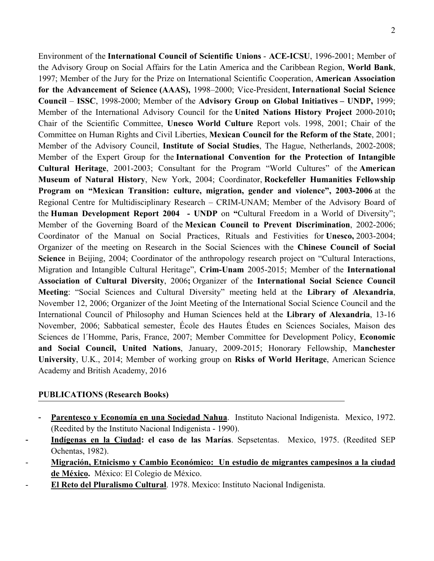Environment of the **International Council of Scientific Unions** - **ACE-ICSU**, 1996-2001; Member of the Advisory Group on Social Affairs for the Latin America and the Caribbean Region, **World Bank**, 1997; Member of the Jury for the Prize on International Scientific Cooperation, **American Association for the Advancement of Science (AAAS),** 1998–2000; Vice-President, **International Social Science Council** – **ISSC**, 1998-2000; Member of the **Advisory Group on Global Initiatives – UNDP,** 1999; Member of the International Advisory Council for the **United Nations History Project** 2000-2010**;** Chair of the Scientific Committee, **Unesco World Culture** Report vols. 1998, 2001; Chair of the Committee on Human Rights and Civil Liberties, **Mexican Council for the Reform of the State**, 2001; Member of the Advisory Council, **Institute of Social Studies**, The Hague, Netherlands, 2002-2008; Member of the Expert Group for the **International Convention for the Protection of Intangible Cultural Heritage**, 2001-2003; Consultant for the Program "World Cultures" of the **American Museum of Natural History**, New York, 2004; Coordinator, **Rockefeller Humanities Fellowship Program on "Mexican Transition: culture, migration, gender and violence", 2003-2006** at the Regional Centre for Multidisciplinary Research – CRIM-UNAM; Member of the Advisory Board of the **Human Development Report 2004 - UNDP** on **"**Cultural Freedom in a World of Diversity"; Member of the Governing Board of the **Mexican Council to Prevent Discrimination**, 2002-2006; Coordinator of the Manual on Social Practices, Rituals and Festivities for **Unesco,** 2003-2004; Organizer of the meeting on Research in the Social Sciences with the **Chinese Council of Social Science** in Beijing, 2004; Coordinator of the anthropology research project on "Cultural Interactions, Migration and Intangible Cultural Heritage", **Crim-Unam** 2005-2015; Member of the **International Association of Cultural Diversity**, 2006**;** Organizer of the **International Social Science Council Meeting**: "Social Sciences and Cultural Diversity" meeting held at the **Library of Alexandria**, November 12, 2006; Organizer of the Joint Meeting of the International Social Science Council and the International Council of Philosophy and Human Sciences held at the **Library of Alexandria**, 13-16 November, 2006; Sabbatical semester, École des Hautes Études en Sciences Sociales, Maison des Sciences de l´Homme, Paris, France, 2007; Member Committee for Development Policy, **Economic and Social Council, United Nations**, January, 2009-2015; Honorary Fellowship, M**anchester University**, U.K., 2014; Member of working group on **Risks of World Heritage**, American Science Academy and British Academy, 2016

#### **PUBLICATIONS (Research Books)**

- Parentesco y Economía en una Sociedad Nahua. Instituto Nacional Indigenista. Mexico, 1972. (Reedited by the Instituto Nacional Indigenista - 1990).
- **Indígenas en la Ciudad: el caso de las Marías**. Sepsetentas. Mexico, 1975. (Reedited SEP Ochentas, 1982).
- **Migración, Etnicismo y Cambio Económico: Un estudio de migrantes campesinos a la ciudad de México.** México: El Colegio de México.
- **El Reto del Pluralismo Cultural**. 1978. Mexico: Instituto Nacional Indigenista.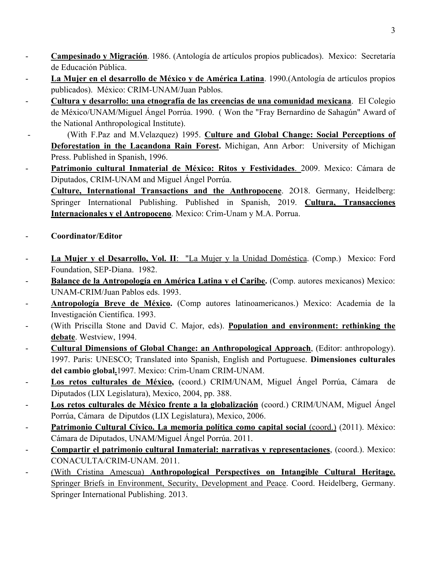- **Campesinado y Migración**. 1986. (Antología de artículos propios publicados). Mexico: Secretaría de Educación Pública.
- **La Mujer en el desarrollo de México y de América Latina**. 1990.(Antología de artículos propios publicados). México: CRIM-UNAM/Juan Pablos.
- **Cultura y desarrollo: una etnografía de las creencias de una comunidad mexicana**. El Colegio de México/UNAM/Miguel Ángel Porrúa. 1990. ( Won the "Fray Bernardino de Sahagún" Award of the National Anthropological Institute).
- (With F.Paz and M.Velazquez) 1995. **Culture and Global Change: Social Perceptions of Deforestation in the Lacandona Rain Forest.** Michigan, Ann Arbor: University of Michigan Press. Published in Spanish, 1996.
- **Patrimonio cultural Inmaterial de México: Ritos y Festividades**. 2009. Mexico: Cámara de Diputados, CRIM-UNAM and Miguel Ángel Porrúa.
	- **Culture, International Transactions and the Anthropocene**. 2O18. Germany, Heidelberg: Springer International Publishing. Published in Spanish, 2019. **Cultura, Transacciones Internacionales y el Antropoceno**. Mexico: Crim-Unam y M.A. Porrua.
- **Coordinator/Editor**
- **La Mujer y el Desarrollo, Vol. II**: "La Mujer y la Unidad Doméstica. (Comp.) Mexico: Ford Foundation, SEP-Diana. 1982.
- **Balance de la Antropología en América Latina y el Caribe.** (Comp. autores mexicanos) Mexico: UNAM-CRIM/Juan Pablos eds. 1993.
- **Antropología Breve de México.** (Comp autores latinoamericanos.) Mexico: Academia de la Investigación Científica. 1993.
- (With Priscilla Stone and David C. Major, eds). **Population and environment: rethinking the debate**. Westview, 1994.
- **Cultural Dimensions of Global Change: an Anthropological Approach**, (Editor: anthropology). 1997. Paris: UNESCO; Translated into Spanish, English and Portuguese. **Dimensiones culturales del cambio global.**1997. Mexico: Crim-Unam CRIM-UNAM.
- Los retos culturales de México, (coord.) CRIM/UNAM, Miguel Ángel Porrúa, Cámara de Diputados (LIX Legislatura), Mexico, 2004, pp. 388.
- **Los retos culturales de México frente a la globalización** (coord.) CRIM/UNAM, Miguel Ángel Porrúa, Cámara de Diputdos (LIX Legislatura), Mexico, 2006.
- **Patrimonio Cultural Cívico. La memoria política como capital social** (coord.) (2011). México: Cámara de Diputados, UNAM/Miguel Ángel Porrúa. 2011.
- **Compartir el patrimonio cultural Inmaterial: narrativas y representaciones**, (coord.). Mexico: CONACULTA/CRIM-UNAM. 2011.
- (With Cristina Amescua) **Anthropological Perspectives on Intangible Cultural Heritage.** Springer Briefs in Environment, Security, Development and Peace. Coord. Heidelberg, Germany. Springer International Publishing. 2013.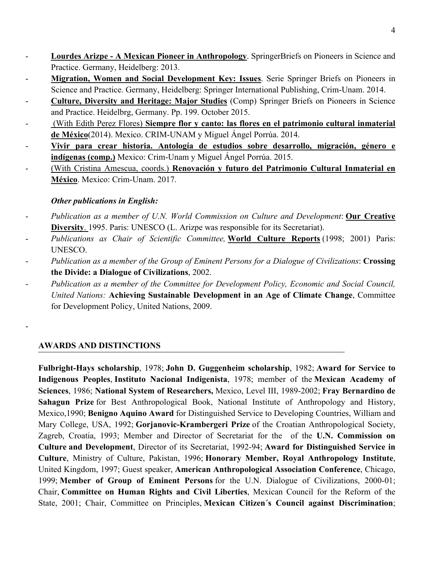- **Lourdes Arizpe A Mexican Pioneer in Anthropology**. SpringerBriefs on Pioneers in Science and Practice. Germany, Heidelberg: 2013.
- **Migration, Women and Social Development Key: Issues**. Serie Springer Briefs on Pioneers in Science and Practice. Germany, Heidelberg: Springer International Publishing, Crim-Unam. 2014.
- **Culture, Diversity and Heritage: Major Studies** (Comp) Springer Briefs on Pioneers in Science and Practice. Heidelbrg, Germany. Pp. 199. October 2015.
- (With Edith Perez Flores) **Siempre flor y canto: las flores en el patrimonio cultural inmaterial de México**(2014). Mexico. CRIM-UNAM y Miguel Ángel Porrúa. 2014.
- **Vivir para crear historia. Antología de estudios sobre desarrollo, migración, género e indígenas (comp.)** Mexico: Crim-Unam y Miguel Ángel Porrúa. 2015.
- (With Cristina Amescua, coords.) **Renovación y futuro del Patrimonio Cultural Inmaterial en México**. Mexico: Crim-Unam. 2017.

# *Other publications in English:*

- *Publication as a member of U.N. World Commission on Culture and Development*: **Our Creative Diversity**. 1995. Paris: UNESCO (L. Arizpe was responsible for its Secretariat).
- *Publications as Chair of Scientific Committee,* **World Culture Reports** (1998; 2001) Paris: UNESCO.
- *Publication as a member of the Group of Eminent Persons for a Dialogue of Civilizations*: **Crossing the Divide: a Dialogue of Civilizations**, 2002.
- *Publication as a member of the Committee for Development Policy, Economic and Social Council, United Nations:* **Achieving Sustainable Development in an Age of Climate Change**, Committee for Development Policy, United Nations, 2009.

# **AWARDS AND DISTINCTIONS**

-

**Fulbright-Hays scholarship**, 1978; **John D. Guggenheim scholarship**, 1982; **Award for Service to Indigenous Peoples**, **Instituto Nacional Indigenista**, 1978; member of the **Mexican Academy of Sciences**, 1986; **National System of Researchers,** Mexico, Level III, 1989-2002; **Fray Bernardino de Sahagun Prize** for Best Anthropological Book, National Institute of Anthropology and History, Mexico,1990; **Benigno Aquino Award** for Distinguished Service to Developing Countries, William and Mary College, USA, 1992; **Gorjanovic-Krambergeri Prize** of the Croatian Anthropological Society, Zagreb, Croatia, 1993; Member and Director of Secretariat for the of the **U.N. Commission on Culture and Development**, Director of its Secretariat, 1992-94; **Award for Distinguished Service in Culture**, Ministry of Culture, Pakistan, 1996; **Honorary Member, Royal Anthropology Institute**, United Kingdom, 1997; Guest speaker, **American Anthropological Association Conference**, Chicago, 1999; **Member of Group of Eminent Persons** for the U.N. Dialogue of Civilizations, 2000-01; Chair, **Committee on Human Rights and Civil Liberties**, Mexican Council for the Reform of the State, 2001; Chair, Committee on Principles, **Mexican Citizen´s Council against Discrimination**;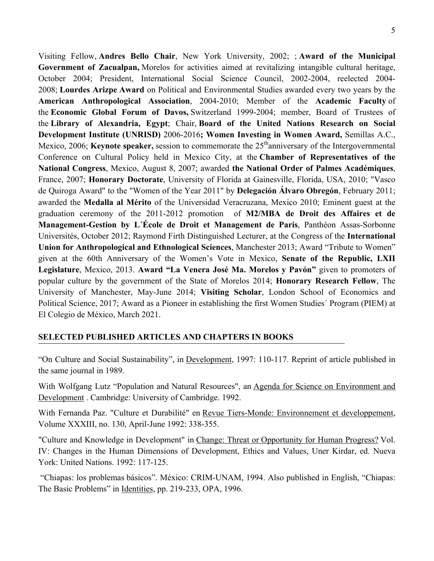Visiting Fellow, **Andres Bello Chair**, New York University, 2002; ; **Award of the Municipal Government of Zacualpan,** Morelos for activities aimed at revitalizing intangible cultural heritage, October 2004; President, International Social Science Council, 2002-2004, reelected 2004- 2008; **Lourdes Arizpe Award** on Political and Environmental Studies awarded every two years by the **American Anthropological Association**, 2004-2010; Member of the **Academic Faculty** of the **Economic Global Forum of Davos,** Switzerland 1999-2004; member, Board of Trustees of the **Library of Alexandria, Egypt**; Chair, **Board of the United Nations Research on Social Development Institute (UNRISD)** 2006-2016**; Women Investing in Women Award,** Semillas A.C., Mexico, 2006; **Keynote speaker,** session to commemorate the 25<sup>th</sup>anniversary of the Intergovernmental Conference on Cultural Policy held in Mexico City, at the **Chamber of Representatives of the National Congress**, Mexico, August 8, 2007; awarded **the National Order of Palmes Académiques**, France, 2007; **Honorary Doctorate**, University of Florida at Gainesville, Florida, USA, 2010; "Vasco de Quiroga Award" to the "Women of the Year 2011" by **Delegación Álvaro Obregón**, February 2011; awarded the **Medalla al Mérito** of the Universidad Veracruzana, Mexico 2010; Eminent guest at the graduation ceremony of the 2011-2012 promotion of **M2/MBA de Droit des Affaires et de Management-Gestion by L´École de Droit et Management de Paris**, Panthéon Assas-Sorbonne Universités, October 2012; Raymond Firth Distinguished Lecturer, at the Congress of the **International Union for Anthropological and Ethnological Sciences**, Manchester 2013; Award "Tribute to Women" given at the 60th Anniversary of the Women's Vote in Mexico, **Senate of the Republic, LXII Legislature**, Mexico, 2013. **Award "La Venera José Ma. Morelos y Pavón"** given to promoters of popular culture by the government of the State of Morelos 2014; **Honorary Research Fellow**, The University of Manchester, May-June 2014; **Visiting Scholar**, London School of Economics and Political Science, 2017; Award as a Pioneer in establishing the first Women Studies´ Program (PIEM) at El Colegio de México, March 2021.

# **SELECTED PUBLISHED ARTICLES AND CHAPTERS IN BOOKS**

"On Culture and Social Sustainability", in Development, 1997: 110-117. Reprint of article published in the same journal in 1989.

With Wolfgang Lutz "Population and Natural Resources", an Agenda for Science on Environment and Development . Cambridge: University of Cambridge. 1992.

With Fernanda Paz. "Culture et Durabilité" en Revue Tiers-Monde: Environnement et developpement, Volume XXXIII, no. 130, April-June 1992: 338-355.

"Culture and Knowledge in Development" in Change: Threat or Opportunity for Human Progress? Vol. IV: Changes in the Human Dimensions of Development, Ethics and Values, Uner Kirdar, ed. Nueva York: United Nations. 1992: 117-125.

 "Chiapas: los problemas básicos". México: CRIM-UNAM, 1994. Also published in English, "Chiapas: The Basic Problems" in Identities, pp. 219-233, OPA, 1996.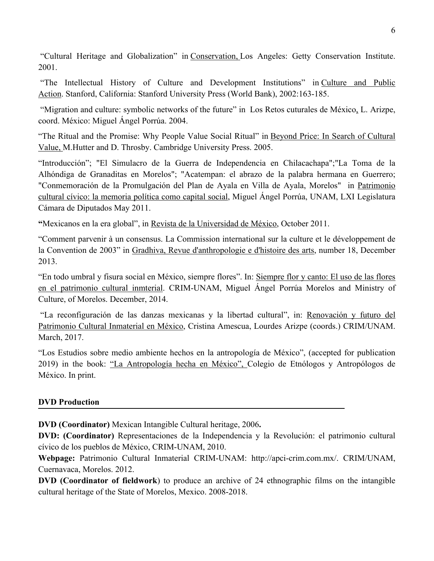"Cultural Heritage and Globalization" in Conservation, Los Angeles: Getty Conservation Institute. 2001.

 "The Intellectual History of Culture and Development Institutions" in Culture and Public Action. Stanford, California: Stanford University Press (World Bank), 2002:163-185.

 "Migration and culture: symbolic networks of the future" in Los Retos cuturales de México, L. Arizpe, coord. México: Miguel Ángel Porrúa. 2004.

"The Ritual and the Promise: Why People Value Social Ritual" in Beyond Price: In Search of Cultural Value, M.Hutter and D. Throsby. Cambridge University Press. 2005.

"Introducción"; "El Simulacro de la Guerra de Independencia en Chilacachapa";"La Toma de la Alhóndiga de Granaditas en Morelos"; "Acatempan: el abrazo de la palabra hermana en Guerrero; "Conmemoración de la Promulgación del Plan de Ayala en Villa de Ayala, Morelos" in Patrimonio cultural cívico: la memoria política como capital social, Miguel Ángel Porrúa, UNAM, LXI Legislatura Cámara de Diputados May 2011.

**"**Mexicanos en la era global", in Revista de la Universidad de México, October 2011.

"Comment parvenir à un consensus. La Commission international sur la culture et le développement de la Convention de 2003" in Gradhiva, Revue d'anthropologie e d'histoire des arts, number 18, December 2013.

"En todo umbral y fisura social en México, siempre flores". In: Siempre flor y canto: El uso de las flores en el patrimonio cultural inmterial. CRIM-UNAM, Miguel Ángel Porrúa Morelos and Ministry of Culture, of Morelos. December, 2014.

"La reconfiguración de las danzas mexicanas y la libertad cultural", in: Renovación y futuro del Patrimonio Cultural Inmaterial en México, Cristina Amescua, Lourdes Arizpe (coords.) CRIM/UNAM. March, 2017.

"Los Estudios sobre medio ambiente hechos en la antropología de México", (accepted for publication 2019) in the book: "La Antropología hecha en México", Colegio de Etnólogos y Antropólogos de México. In print.

# **DVD Production**

**DVD (Coordinator)** Mexican Intangible Cultural heritage, 2006**.**

**DVD: (Coordinator)** Representaciones de la Independencia y la Revolución: el patrimonio cultural cívico de los pueblos de México, CRIM-UNAM, 2010.

**Webpage:** Patrimonio Cultural Inmaterial CRIM-UNAM: http://apci-crim.com.mx/. CRIM/UNAM, Cuernavaca, Morelos. 2012.

**DVD (Coordinator of fieldwork**) to produce an archive of 24 ethnographic films on the intangible cultural heritage of the State of Morelos, Mexico. 2008-2018.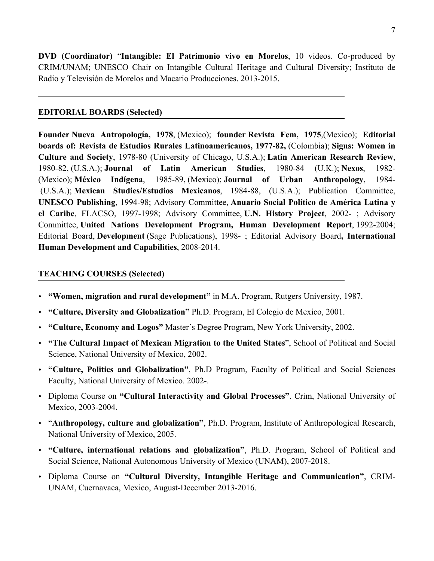**DVD (Coordinator)** "**Intangible: El Patrimonio vivo en Morelos**, 10 videos. Co-produced by CRIM/UNAM; UNESCO Chair on Intangible Cultural Heritage and Cultural Diversity; Instituto de Radio y Televisión de Morelos and Macario Producciones. 2013-2015.

## **EDITORIAL BOARDS (Selected)**

**Founder Nueva Antropología, 1978**, (Mexico); **founder Revista Fem, 1975**,(Mexico); **Editorial boards of: Revista de Estudios Rurales Latinoamericanos, 1977-82,** (Colombia); **Signs: Women in Culture and Society**, 1978-80 (University of Chicago, U.S.A.); **Latin American Research Review**, 1980-82, (U.S.A.); **Journal of Latin American Studies**, 1980-84 (U.K.); **Nexos**, 1982- (Mexico); **México Indígena**, 1985-89, (Mexico); **Journal of Urban Anthropology**, 1984- (U.S.A.); **Mexican Studies/Estudios Mexicanos**, 1984-88, (U.S.A.); Publication Committee, **UNESCO Publishing**, 1994-98; Advisory Committee, **Anuario Social Político de América Latina y el Caribe**, FLACSO, 1997-1998; Advisory Committee, **U.N. History Project**, 2002- ; Advisory Committee, **United Nations Development Program, Human Development Report**, 1992-2004; Editorial Board, **Development** (Sage Publications), 1998- ; Editorial Advisory Board**, International Human Development and Capabilities**, 2008-2014.

## **TEACHING COURSES (Selected)**

- **"Women, migration and rural development"** in M.A. Program, Rutgers University, 1987.
- **"Culture, Diversity and Globalization"** Ph.D. Program, El Colegio de Mexico, 2001.
- **"Culture, Economy and Logos"** Master´s Degree Program, New York University, 2002.
- **"The Cultural Impact of Mexican Migration to the United States**", School of Political and Social Science, National University of Mexico, 2002.
- **"Culture, Politics and Globalization"**, Ph.D Program, Faculty of Political and Social Sciences Faculty, National University of Mexico. 2002-.
- Diploma Course on **"Cultural Interactivity and Global Processes"**. Crim, National University of Mexico, 2003-2004.
- "**Anthropology, culture and globalization"**, Ph.D. Program, Institute of Anthropological Research, National University of Mexico, 2005.
- **"Culture, international relations and globalization"**, Ph.D. Program, School of Political and Social Science, National Autonomous University of Mexico (UNAM), 2007-2018.
- Diploma Course on **"Cultural Diversity, Intangible Heritage and Communication"**, CRIM-UNAM, Cuernavaca, Mexico, August-December 2013-2016.